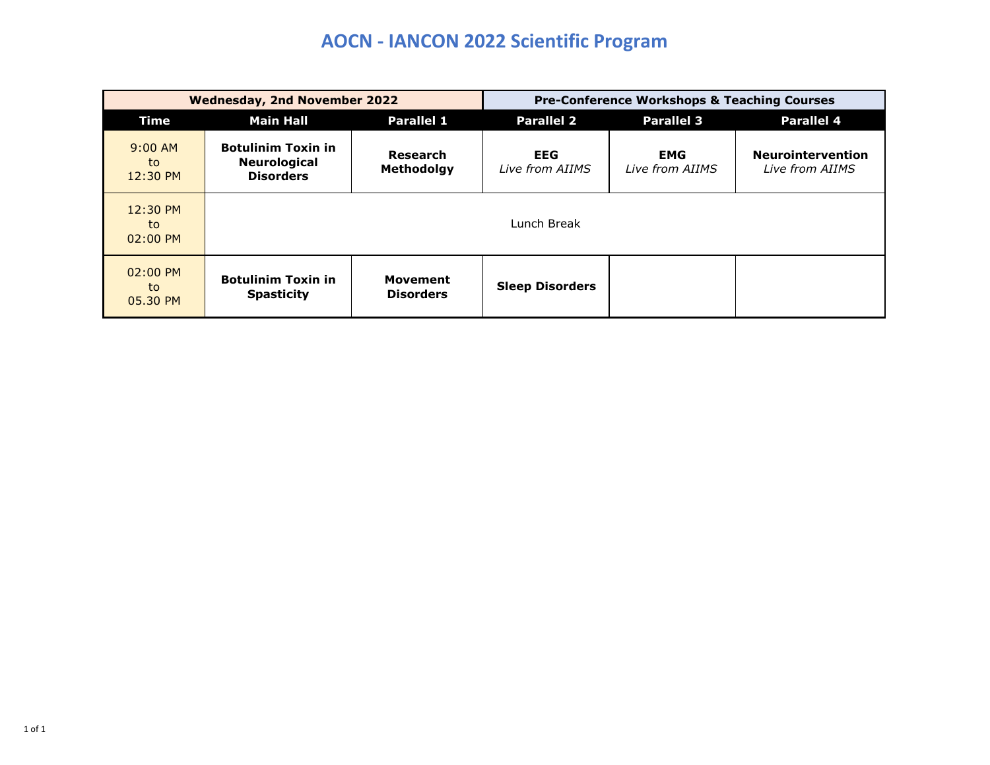## **AOCN - IANCON 2022 Scientific Program**

|                              | <b>Wednesday, 2nd November 2022</b>                                  |                                     | <b>Pre-Conference Workshops &amp; Teaching Courses</b> |                               |                                             |  |
|------------------------------|----------------------------------------------------------------------|-------------------------------------|--------------------------------------------------------|-------------------------------|---------------------------------------------|--|
| <b>Time</b>                  | <b>Parallel 1</b><br><b>Main Hall</b>                                |                                     | <b>Parallel 2</b>                                      | <b>Parallel 3</b>             | <b>Parallel 4</b>                           |  |
| $9:00$ AM<br>to<br>12:30 PM  | <b>Botulinim Toxin in</b><br><b>Neurological</b><br><b>Disorders</b> | Research<br>Methodolgy              | <b>EEG</b><br>Live from AIIMS                          | <b>EMG</b><br>Live from AIIMS | <b>Neurointervention</b><br>Live from AIIMS |  |
| 12:30 PM<br>to<br>$02:00$ PM |                                                                      |                                     | Lunch Break                                            |                               |                                             |  |
| $02:00$ PM<br>to<br>05.30 PM | <b>Botulinim Toxin in</b><br><b>Spasticity</b>                       | <b>Movement</b><br><b>Disorders</b> | <b>Sleep Disorders</b>                                 |                               |                                             |  |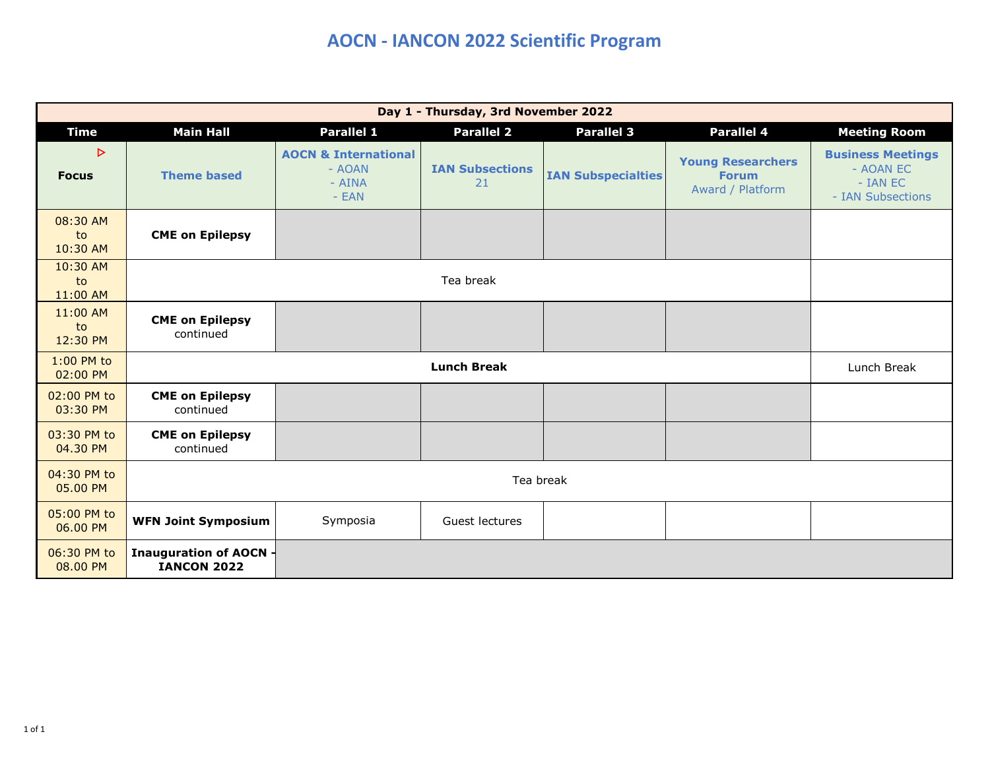## **AOCN - IANCON 2022 Scientific Program**

| Day 1 - Thursday, 3rd November 2022 |                                                     |                                                                |                              |                           |                                                              |                                                                        |  |  |
|-------------------------------------|-----------------------------------------------------|----------------------------------------------------------------|------------------------------|---------------------------|--------------------------------------------------------------|------------------------------------------------------------------------|--|--|
| <b>Time</b>                         | <b>Main Hall</b>                                    | <b>Parallel 1</b>                                              | <b>Parallel 2</b>            | <b>Parallel 3</b>         | <b>Parallel 4</b>                                            | <b>Meeting Room</b>                                                    |  |  |
| $\triangleright$<br><b>Focus</b>    | <b>Theme based</b>                                  | <b>AOCN &amp; International</b><br>- AOAN<br>- AINA<br>$- EAN$ | <b>IAN Subsections</b><br>21 | <b>IAN Subspecialties</b> | <b>Young Researchers</b><br><b>Forum</b><br>Award / Platform | <b>Business Meetings</b><br>- AOAN EC<br>- IAN EC<br>- IAN Subsections |  |  |
| 08:30 AM<br>to<br>10:30 AM          | <b>CME on Epilepsy</b>                              |                                                                |                              |                           |                                                              |                                                                        |  |  |
| 10:30 AM<br>to<br>11:00 AM          |                                                     |                                                                | Tea break                    |                           |                                                              |                                                                        |  |  |
| 11:00 AM<br>to<br>12:30 PM          | <b>CME on Epilepsy</b><br>continued                 |                                                                |                              |                           |                                                              |                                                                        |  |  |
| 1:00 PM to<br>02:00 PM              |                                                     | Lunch Break                                                    |                              |                           |                                                              |                                                                        |  |  |
| 02:00 PM to<br>03:30 PM             | <b>CME on Epilepsy</b><br>continued                 |                                                                |                              |                           |                                                              |                                                                        |  |  |
| 03:30 PM to<br>04.30 PM             | <b>CME on Epilepsy</b><br>continued                 |                                                                |                              |                           |                                                              |                                                                        |  |  |
| 04:30 PM to<br>05.00 PM             |                                                     |                                                                |                              |                           |                                                              |                                                                        |  |  |
| 05:00 PM to<br>06.00 PM             | <b>WFN Joint Symposium</b>                          | Symposia                                                       | Guest lectures               |                           |                                                              |                                                                        |  |  |
| 06:30 PM to<br>08.00 PM             | <b>Inauguration of AOCN -</b><br><b>IANCON 2022</b> |                                                                |                              |                           |                                                              |                                                                        |  |  |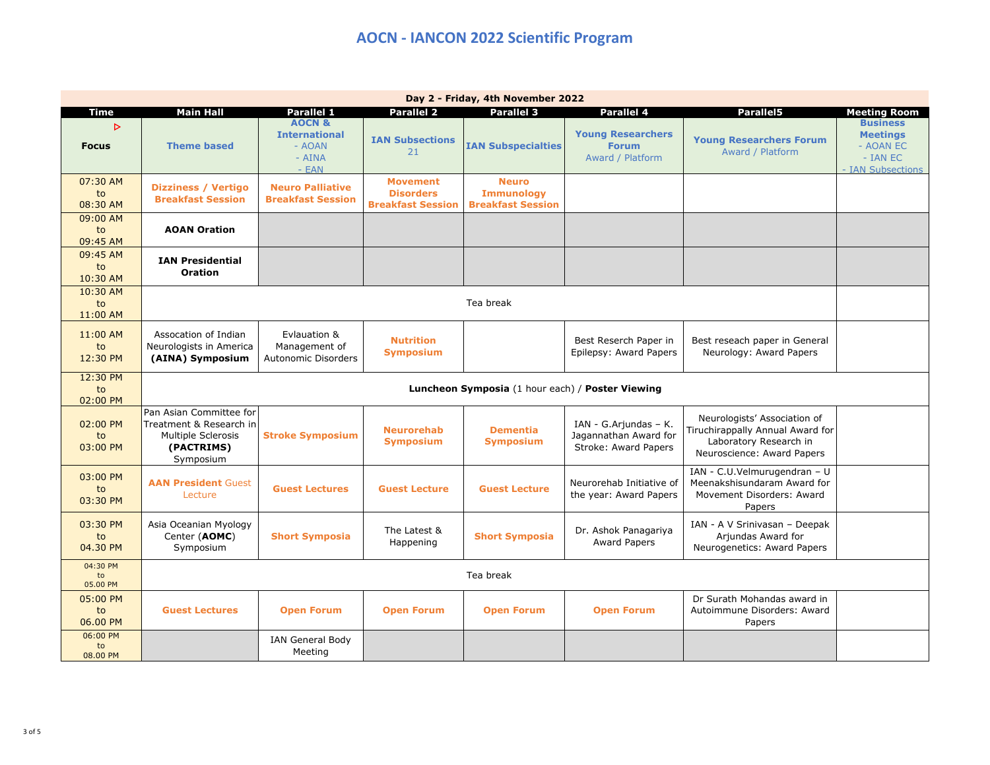| Day 2 - Friday, 4th November 2022 |                                                                                                            |                                                                           |                                                                 |                                                               |                                                                                |                                                                                                                          |                                                                                  |  |
|-----------------------------------|------------------------------------------------------------------------------------------------------------|---------------------------------------------------------------------------|-----------------------------------------------------------------|---------------------------------------------------------------|--------------------------------------------------------------------------------|--------------------------------------------------------------------------------------------------------------------------|----------------------------------------------------------------------------------|--|
| <b>Time</b>                       | <b>Main Hall</b>                                                                                           | <b>Parallel 1</b>                                                         | <b>Parallel 2</b>                                               | <b>Parallel 3</b>                                             | <b>Parallel 4</b>                                                              | <b>Parallel5</b>                                                                                                         | <b>Meeting Room</b>                                                              |  |
| $\triangleright$<br><b>Focus</b>  | <b>Theme based</b>                                                                                         | <b>AOCN &amp;</b><br><b>International</b><br>- AOAN<br>$- AINA$<br>$-EAN$ | <b>IAN Subsections</b><br>21                                    | <b>IAN Subspecialties</b>                                     | <b>Young Researchers</b><br><b>Forum</b><br>Award / Platform                   | <b>Young Researchers Forum</b><br>Award / Platform                                                                       | <b>Business</b><br><b>Meetings</b><br>- AOAN EC<br>- IAN EC<br>- IAN Subsections |  |
| 07:30 AM<br>to<br>08:30 AM        | <b>Dizziness / Vertigo</b><br><b>Breakfast Session</b>                                                     | <b>Neuro Palliative</b><br><b>Breakfast Session</b>                       | <b>Movement</b><br><b>Disorders</b><br><b>Breakfast Session</b> | <b>Neuro</b><br><b>Immunology</b><br><b>Breakfast Session</b> |                                                                                |                                                                                                                          |                                                                                  |  |
| 09:00 AM<br>to<br>09:45 AM        | <b>AOAN Oration</b>                                                                                        |                                                                           |                                                                 |                                                               |                                                                                |                                                                                                                          |                                                                                  |  |
| 09:45 AM<br>to<br>10:30 AM        | <b>IAN Presidential</b><br><b>Oration</b>                                                                  |                                                                           |                                                                 |                                                               |                                                                                |                                                                                                                          |                                                                                  |  |
| 10:30 AM<br>to<br>11:00 AM        |                                                                                                            |                                                                           |                                                                 | Tea break                                                     |                                                                                |                                                                                                                          |                                                                                  |  |
| 11:00 AM<br>to<br>12:30 PM        | Assocation of Indian<br>Neurologists in America<br>(AINA) Symposium                                        | Evlauation &<br>Management of<br><b>Autonomic Disorders</b>               | <b>Nutrition</b><br><b>Symposium</b>                            |                                                               | Best Reserch Paper in<br>Epilepsy: Award Papers                                | Best reseach paper in General<br>Neurology: Award Papers                                                                 |                                                                                  |  |
| 12:30 PM<br>to<br>02:00 PM        | Luncheon Symposia (1 hour each) / Poster Viewing                                                           |                                                                           |                                                                 |                                                               |                                                                                |                                                                                                                          |                                                                                  |  |
| 02:00 PM<br>to<br>03:00 PM        | Pan Asian Committee for<br>Treatment & Research in<br><b>Multiple Sclerosis</b><br>(PACTRIMS)<br>Symposium | <b>Stroke Symposium</b>                                                   | <b>Neurorehab</b><br><b>Symposium</b>                           | <b>Dementia</b><br><b>Symposium</b>                           | IAN - G. Arjundas – K.<br>Jagannathan Award for<br><b>Stroke: Award Papers</b> | Neurologists' Association of<br>Tiruchirappally Annual Award for<br>Laboratory Research in<br>Neuroscience: Award Papers |                                                                                  |  |
| 03:00 PM<br>to<br>03:30 PM        | <b>AAN President Guest</b><br>Lecture                                                                      | <b>Guest Lectures</b>                                                     | <b>Guest Lecture</b>                                            | <b>Guest Lecture</b>                                          | Neurorehab Initiative of<br>the year: Award Papers                             | IAN - C.U.Velmurugendran - U<br>Meenakshisundaram Award for<br>Movement Disorders: Award<br>Papers                       |                                                                                  |  |
| 03:30 PM<br>to<br>04.30 PM        | Asia Oceanian Myology<br>Center (AOMC)<br>Symposium                                                        | <b>Short Symposia</b>                                                     | The Latest &<br>Happening                                       | <b>Short Symposia</b>                                         | Dr. Ashok Panagariya<br><b>Award Papers</b>                                    | IAN - A V Srinivasan - Deepak<br>Arjundas Award for<br>Neurogenetics: Award Papers                                       |                                                                                  |  |
| 04:30 PM<br>to<br>05.00 PM        | Tea break                                                                                                  |                                                                           |                                                                 |                                                               |                                                                                |                                                                                                                          |                                                                                  |  |
| 05:00 PM<br>to<br>06.00 PM        | <b>Guest Lectures</b>                                                                                      | <b>Open Forum</b>                                                         | <b>Open Forum</b>                                               | <b>Open Forum</b>                                             | <b>Open Forum</b>                                                              | Dr Surath Mohandas award in<br>Autoimmune Disorders: Award<br>Papers                                                     |                                                                                  |  |
| 06:00 PM<br>to<br>08.00 PM        |                                                                                                            | <b>IAN General Body</b><br>Meeting                                        |                                                                 |                                                               |                                                                                |                                                                                                                          |                                                                                  |  |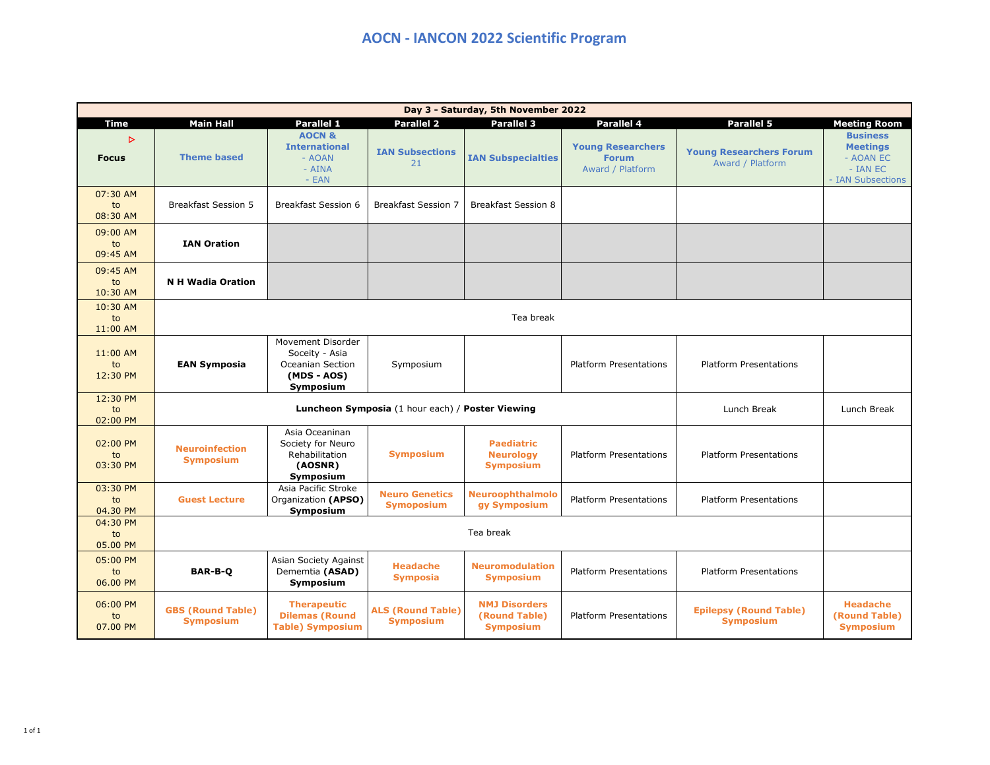| Day 3 - Saturday, 5th November 2022 |                                                                 |                                                                                     |                                              |                                                           |                                                              |                                                    |                                                                                    |
|-------------------------------------|-----------------------------------------------------------------|-------------------------------------------------------------------------------------|----------------------------------------------|-----------------------------------------------------------|--------------------------------------------------------------|----------------------------------------------------|------------------------------------------------------------------------------------|
| Time                                | <b>Main Hall</b>                                                | Parallel 1                                                                          | <b>Parallel 2</b>                            | <b>Parallel 3</b>                                         | Parallel 4                                                   | Parallel 5                                         | <b>Meeting Room</b>                                                                |
| $\triangleright$<br><b>Focus</b>    | <b>Theme based</b>                                              | <b>AOCN &amp;</b><br><b>International</b><br>- AOAN<br>$- AINA$<br>$- EAN$          | <b>IAN Subsections</b><br>21                 | <b>IAN Subspecialties</b>                                 | <b>Young Researchers</b><br><b>Forum</b><br>Award / Platform | <b>Young Researchers Forum</b><br>Award / Platform | <b>Business</b><br><b>Meetings</b><br>- AOAN EC<br>$- IAN EC$<br>- IAN Subsections |
| 07:30 AM<br>to<br>08:30 AM          | <b>Breakfast Session 5</b>                                      | <b>Breakfast Session 6</b>                                                          | <b>Breakfast Session 7</b>                   | <b>Breakfast Session 8</b>                                |                                                              |                                                    |                                                                                    |
| 09:00 AM<br>to<br>09:45 AM          | <b>IAN Oration</b>                                              |                                                                                     |                                              |                                                           |                                                              |                                                    |                                                                                    |
| 09:45 AM<br>to<br>10:30 AM          | <b>N H Wadia Oration</b>                                        |                                                                                     |                                              |                                                           |                                                              |                                                    |                                                                                    |
| 10:30 AM<br>to<br>11:00 AM          | Tea break                                                       |                                                                                     |                                              |                                                           |                                                              |                                                    |                                                                                    |
| 11:00 AM<br>to<br>12:30 PM          | <b>EAN Symposia</b>                                             | Movement Disorder<br>Soceity - Asia<br>Oceanian Section<br>(MDS - AOS)<br>Symposium | Symposium                                    |                                                           | <b>Platform Presentations</b>                                | <b>Platform Presentations</b>                      |                                                                                    |
| 12:30 PM<br>to<br>02:00 PM          | Luncheon Symposia (1 hour each) / Poster Viewing<br>Lunch Break |                                                                                     |                                              |                                                           |                                                              |                                                    |                                                                                    |
| 02:00 PM<br>to<br>03:30 PM          | <b>Neuroinfection</b><br><b>Symposium</b>                       | Asia Oceaninan<br>Society for Neuro<br>Rehabilitation<br>(AOSNR)<br>Symposium       | <b>Symposium</b>                             | <b>Paediatric</b><br><b>Neurology</b><br><b>Symposium</b> | <b>Platform Presentations</b>                                | <b>Platform Presentations</b>                      |                                                                                    |
| 03:30 PM<br>to<br>04.30 PM          | <b>Guest Lecture</b>                                            | Asia Pacific Stroke<br>Organization (APSO)<br>Symposium                             | <b>Neuro Genetics</b><br><b>Symoposium</b>   | <b>Neuroophthalmolo</b><br>gy Symposium                   | <b>Platform Presentations</b>                                | <b>Platform Presentations</b>                      |                                                                                    |
| 04:30 PM<br>to<br>05.00 PM          | Tea break                                                       |                                                                                     |                                              |                                                           |                                                              |                                                    |                                                                                    |
| 05:00 PM<br>to<br>06.00 PM          | <b>BAR-B-Q</b>                                                  | Asian Society Against<br>Dememtia (ASAD)<br>Symposium                               | <b>Headache</b><br><b>Symposia</b>           | <b>Neuromodulation</b><br><b>Symposium</b>                | Platform Presentations                                       | <b>Platform Presentations</b>                      |                                                                                    |
| 06:00 PM<br>to<br>07.00 PM          | <b>GBS (Round Table)</b><br><b>Symposium</b>                    | <b>Therapeutic</b><br><b>Dilemas (Round</b><br><b>Table) Symposium</b>              | <b>ALS (Round Table)</b><br><b>Symposium</b> | <b>NMJ Disorders</b><br>(Round Table)<br><b>Symposium</b> | <b>Platform Presentations</b>                                | <b>Epilepsy (Round Table)</b><br><b>Symposium</b>  | <b>Headache</b><br>(Round Table)<br><b>Symposium</b>                               |